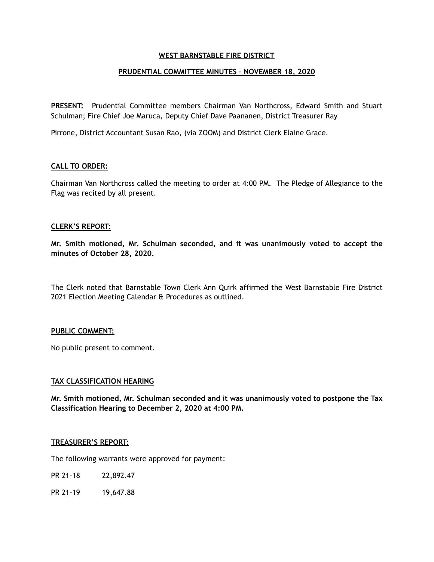### **WEST BARNSTABLE FIRE DISTRICT**

### **PRUDENTIAL COMMITTEE MINUTES – NOVEMBER 18, 2020**

**PRESENT:** Prudential Committee members Chairman Van Northcross, Edward Smith and Stuart Schulman; Fire Chief Joe Maruca, Deputy Chief Dave Paananen, District Treasurer Ray

Pirrone, District Accountant Susan Rao, (via ZOOM) and District Clerk Elaine Grace.

### **CALL TO ORDER:**

Chairman Van Northcross called the meeting to order at 4:00 PM. The Pledge of Allegiance to the Flag was recited by all present.

#### **CLERK'S REPORT:**

**Mr. Smith motioned, Mr. Schulman seconded, and it was unanimously voted to accept the minutes of October 28, 2020.** 

The Clerk noted that Barnstable Town Clerk Ann Quirk affirmed the West Barnstable Fire District 2021 Election Meeting Calendar & Procedures as outlined.

### **PUBLIC COMMENT:**

No public present to comment.

### **TAX CLASSIFICATION HEARING**

**Mr. Smith motioned, Mr. Schulman seconded and it was unanimously voted to postpone the Tax Classification Hearing to December 2, 2020 at 4:00 PM.** 

#### **TREASURER'S REPORT:**

The following warrants were approved for payment:

- PR 21-18 22,892.47
- PR 21-19 19,647.88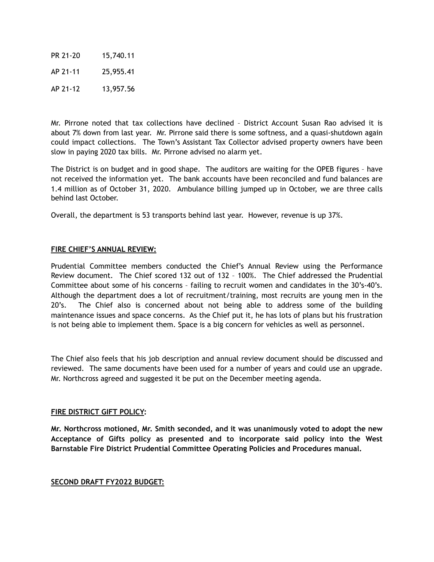PR 21-20 15,740.11 AP 21-11 25,955.41 AP 21-12 13,957.56

Mr. Pirrone noted that tax collections have declined – District Account Susan Rao advised it is about 7% down from last year. Mr. Pirrone said there is some softness, and a quasi-shutdown again could impact collections. The Town's Assistant Tax Collector advised property owners have been slow in paying 2020 tax bills. Mr. Pirrone advised no alarm yet.

The District is on budget and in good shape. The auditors are waiting for the OPEB figures – have not received the information yet. The bank accounts have been reconciled and fund balances are 1.4 million as of October 31, 2020. Ambulance billing jumped up in October, we are three calls behind last October.

Overall, the department is 53 transports behind last year. However, revenue is up 37%.

### **FIRE CHIEF'S ANNUAL REVIEW:**

Prudential Committee members conducted the Chief's Annual Review using the Performance Review document. The Chief scored 132 out of 132 – 100%. The Chief addressed the Prudential Committee about some of his concerns – failing to recruit women and candidates in the 30's-40's. Although the department does a lot of recruitment/training, most recruits are young men in the 20's. The Chief also is concerned about not being able to address some of the building maintenance issues and space concerns. As the Chief put it, he has lots of plans but his frustration is not being able to implement them. Space is a big concern for vehicles as well as personnel.

The Chief also feels that his job description and annual review document should be discussed and reviewed. The same documents have been used for a number of years and could use an upgrade. Mr. Northcross agreed and suggested it be put on the December meeting agenda.

### **FIRE DISTRICT GIFT POLICY:**

**Mr. Northcross motioned, Mr. Smith seconded, and it was unanimously voted to adopt the new Acceptance of Gifts policy as presented and to incorporate said policy into the West Barnstable Fire District Prudential Committee Operating Policies and Procedures manual.** 

# **SECOND DRAFT FY2022 BUDGET:**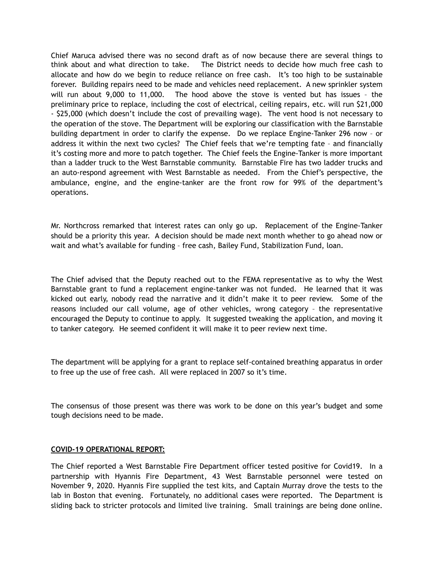Chief Maruca advised there was no second draft as of now because there are several things to think about and what direction to take. The District needs to decide how much free cash to allocate and how do we begin to reduce reliance on free cash. It's too high to be sustainable forever. Building repairs need to be made and vehicles need replacement. A new sprinkler system will run about 9,000 to 11,000. The hood above the stove is vented but has issues – the preliminary price to replace, including the cost of electrical, ceiling repairs, etc. will run \$21,000 - \$25,000 (which doesn't include the cost of prevailing wage). The vent hood is not necessary to the operation of the stove. The Department will be exploring our classification with the Barnstable building department in order to clarify the expense. Do we replace Engine-Tanker 296 now – or address it within the next two cycles? The Chief feels that we're tempting fate – and financially it's costing more and more to patch together. The Chief feels the Engine-Tanker is more important than a ladder truck to the West Barnstable community. Barnstable Fire has two ladder trucks and an auto-respond agreement with West Barnstable as needed. From the Chief's perspective, the ambulance, engine, and the engine-tanker are the front row for 99% of the department's operations.

Mr. Northcross remarked that interest rates can only go up. Replacement of the Engine-Tanker should be a priority this year. A decision should be made next month whether to go ahead now or wait and what's available for funding – free cash, Bailey Fund, Stabilization Fund, loan.

The Chief advised that the Deputy reached out to the FEMA representative as to why the West Barnstable grant to fund a replacement engine-tanker was not funded. He learned that it was kicked out early, nobody read the narrative and it didn't make it to peer review. Some of the reasons included our call volume, age of other vehicles, wrong category – the representative encouraged the Deputy to continue to apply. It suggested tweaking the application, and moving it to tanker category. He seemed confident it will make it to peer review next time.

The department will be applying for a grant to replace self-contained breathing apparatus in order to free up the use of free cash. All were replaced in 2007 so it's time.

The consensus of those present was there was work to be done on this year's budget and some tough decisions need to be made.

### **COVID-19 OPERATIONAL REPORT:**

The Chief reported a West Barnstable Fire Department officer tested positive for Covid19. In a partnership with Hyannis Fire Department, 43 West Barnstable personnel were tested on November 9, 2020. Hyannis Fire supplied the test kits, and Captain Murray drove the tests to the lab in Boston that evening. Fortunately, no additional cases were reported. The Department is sliding back to stricter protocols and limited live training. Small trainings are being done online.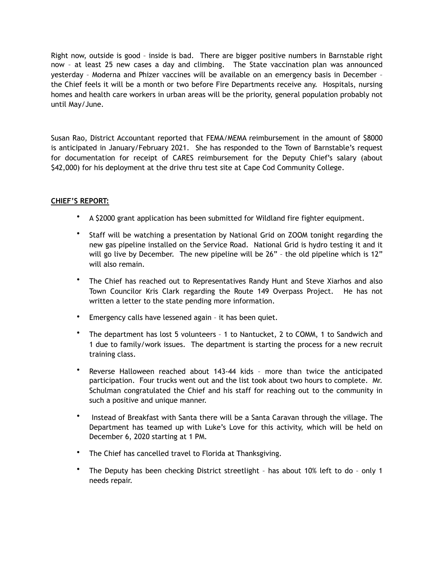Right now, outside is good – inside is bad. There are bigger positive numbers in Barnstable right now – at least 25 new cases a day and climbing. The State vaccination plan was announced yesterday – Moderna and Phizer vaccines will be available on an emergency basis in December – the Chief feels it will be a month or two before Fire Departments receive any. Hospitals, nursing homes and health care workers in urban areas will be the priority, general population probably not until May/June.

Susan Rao, District Accountant reported that FEMA/MEMA reimbursement in the amount of \$8000 is anticipated in January/February 2021. She has responded to the Town of Barnstable's request for documentation for receipt of CARES reimbursement for the Deputy Chief's salary (about \$42,000) for his deployment at the drive thru test site at Cape Cod Community College.

# **CHIEF'S REPORT:**

- A \$2000 grant application has been submitted for Wildland fire fighter equipment.
- Staff will be watching a presentation by National Grid on ZOOM tonight regarding the new gas pipeline installed on the Service Road. National Grid is hydro testing it and it will go live by December. The new pipeline will be 26" – the old pipeline which is 12" will also remain.
- The Chief has reached out to Representatives Randy Hunt and Steve Xiarhos and also Town Councilor Kris Clark regarding the Route 149 Overpass Project. He has not written a letter to the state pending more information.
- Emergency calls have lessened again it has been quiet.
- The department has lost 5 volunteers 1 to Nantucket, 2 to COMM, 1 to Sandwich and 1 due to family/work issues. The department is starting the process for a new recruit training class.
- Reverse Halloween reached about 143-44 kids more than twice the anticipated participation. Four trucks went out and the list took about two hours to complete. Mr. Schulman congratulated the Chief and his staff for reaching out to the community in such a positive and unique manner.
- Instead of Breakfast with Santa there will be a Santa Caravan through the village. The Department has teamed up with Luke's Love for this activity, which will be held on December 6, 2020 starting at 1 PM.
- The Chief has cancelled travel to Florida at Thanksgiving.
- The Deputy has been checking District streetlight has about 10% left to do only 1 needs repair.